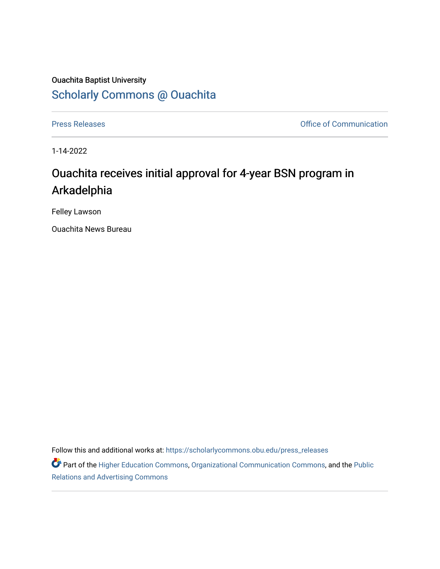## Ouachita Baptist University [Scholarly Commons @ Ouachita](https://scholarlycommons.obu.edu/)

[Press Releases](https://scholarlycommons.obu.edu/press_releases) **Press Releases Communication** 

1-14-2022

## Ouachita receives initial approval for 4-year BSN program in Arkadelphia

Felley Lawson

Ouachita News Bureau

Follow this and additional works at: [https://scholarlycommons.obu.edu/press\\_releases](https://scholarlycommons.obu.edu/press_releases?utm_source=scholarlycommons.obu.edu%2Fpress_releases%2F1040&utm_medium=PDF&utm_campaign=PDFCoverPages)

Part of the [Higher Education Commons,](http://network.bepress.com/hgg/discipline/1245?utm_source=scholarlycommons.obu.edu%2Fpress_releases%2F1040&utm_medium=PDF&utm_campaign=PDFCoverPages) [Organizational Communication Commons,](http://network.bepress.com/hgg/discipline/335?utm_source=scholarlycommons.obu.edu%2Fpress_releases%2F1040&utm_medium=PDF&utm_campaign=PDFCoverPages) and the [Public](http://network.bepress.com/hgg/discipline/336?utm_source=scholarlycommons.obu.edu%2Fpress_releases%2F1040&utm_medium=PDF&utm_campaign=PDFCoverPages) [Relations and Advertising Commons](http://network.bepress.com/hgg/discipline/336?utm_source=scholarlycommons.obu.edu%2Fpress_releases%2F1040&utm_medium=PDF&utm_campaign=PDFCoverPages)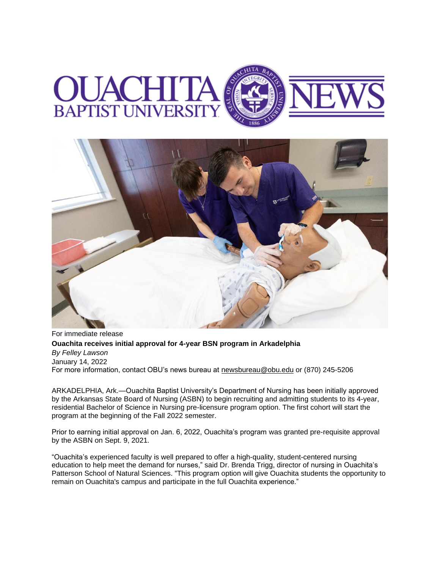



For immediate release **Ouachita receives initial approval for 4-year BSN program in Arkadelphia** *By Felley Lawson* January 14, 2022 For more information, contact OBU's news bureau at [newsbureau@obu.edu](mailto:newsbureau@obu.edu) or (870) 245-5206

ARKADELPHIA, Ark.—Ouachita Baptist University's Department of Nursing has been initially approved by the Arkansas State Board of Nursing (ASBN) to begin recruiting and admitting students to its 4-year, residential Bachelor of Science in Nursing pre-licensure program option. The first cohort will start the program at the beginning of the Fall 2022 semester.

Prior to earning initial approval on Jan. 6, 2022, Ouachita's program was granted pre-requisite approval by the ASBN on Sept. 9, 2021.

"Ouachita's experienced faculty is well prepared to offer a high-quality, student-centered nursing education to help meet the demand for nurses," said Dr. Brenda Trigg, director of nursing in Ouachita's Patterson School of Natural Sciences. "This program option will give Ouachita students the opportunity to remain on Ouachita's campus and participate in the full Ouachita experience."